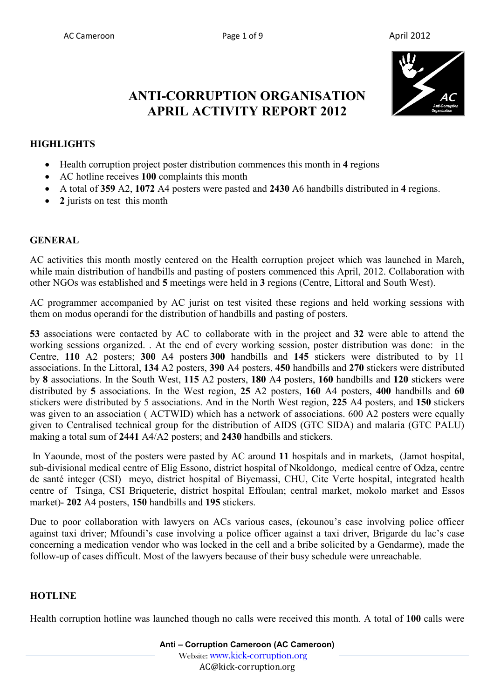

# **ANTI-CORRUPTION ORGANISATION APRIL ACTIVITY REPORT 2012**

#### **HIGHLIGHTS**

- Health corruption project poster distribution commences this month in **4** regions
- AC hotline receives **100** complaints this month
- A total of **359** A2, **1072** A4 posters were pasted and **2430** A6 handbills distributed in **4** regions.
- 2 jurists on test this month

#### **GENERAL**

AC activities this month mostly centered on the Health corruption project which was launched in March, while main distribution of handbills and pasting of posters commenced this April, 2012. Collaboration with other NGOs was established and **5** meetings were held in **3** regions (Centre, Littoral and South West).

AC programmer accompanied by AC jurist on test visited these regions and held working sessions with them on modus operandi for the distribution of handbills and pasting of posters.

**53** associations were contacted by AC to collaborate with in the project and **32** were able to attend the working sessions organized. . At the end of every working session, poster distribution was done: in the Centre, **110** A2 posters; **300** A4 posters **300** handbills and **145** stickers were distributed to by 11 associations. In the Littoral, **134** A2 posters, **390** A4 posters, **450** handbills and **270** stickers were distributed by **8** associations. In the South West, **115** A2 posters, **180** A4 posters, **160** handbills and **120** stickers were distributed by **5** associations. In the West region, **25** A2 posters, **160** A4 posters, **400** handbills and **60** stickers were distributed by 5 associations. And in the North West region, **225** A4 posters, and **150** stickers was given to an association ( ACTWID) which has a network of associations. 600 A2 posters were equally given to Centralised technical group for the distribution of AIDS (GTC SIDA) and malaria (GTC PALU) making a total sum of **2441** A4/A2 posters; and **2430** handbills and stickers.

 In Yaounde, most of the posters were pasted by AC around **11** hospitals and in markets, (Jamot hospital, sub-divisional medical centre of Elig Essono, district hospital of Nkoldongo, medical centre of Odza, centre de santé integer (CSI) meyo, district hospital of Biyemassi, CHU, Cite Verte hospital, integrated health centre of Tsinga, CSI Briqueterie, district hospital Effoulan; central market, mokolo market and Essos market)- **202** A4 posters, **150** handbills and **195** stickers.

Due to poor collaboration with lawyers on ACs various cases, (ekounou's case involving police officer against taxi driver; Mfoundi's case involving a police officer against a taxi driver, Brigarde du lac's case concerning a medication vendor who was locked in the cell and a bribe solicited by a Gendarme), made the follow-up of cases difficult. Most of the lawyers because of their busy schedule were unreachable.

#### **HOTLINE**

Health corruption hotline was launched though no calls were received this month. A total of **100** calls were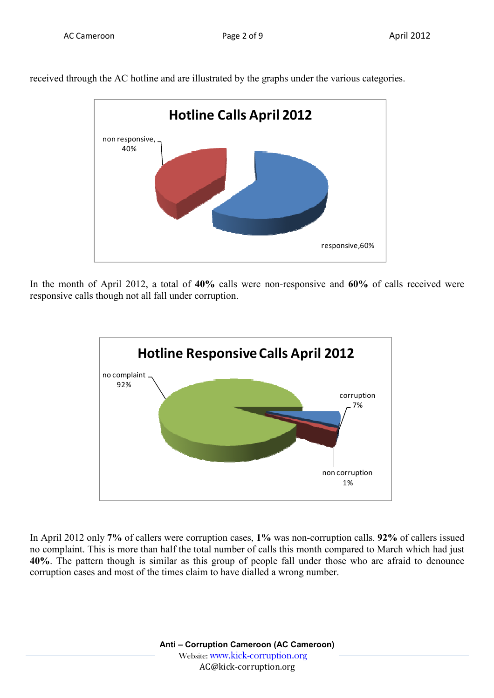

received through the AC hotline and are illustrated by the graphs under the various categories.

In the month of April 2012, a total of **40%** calls were non-responsive and **60%** of calls received were responsive calls though not all fall under corruption.



In April 2012 only **7%** of callers were corruption cases, **1%** was non-corruption calls. **92%** of callers issued no complaint. This is more than half the total number of calls this month compared to March which had just **40%**. The pattern though is similar as this group of people fall under those who are afraid to denounce corruption cases and most of the times claim to have dialled a wrong number.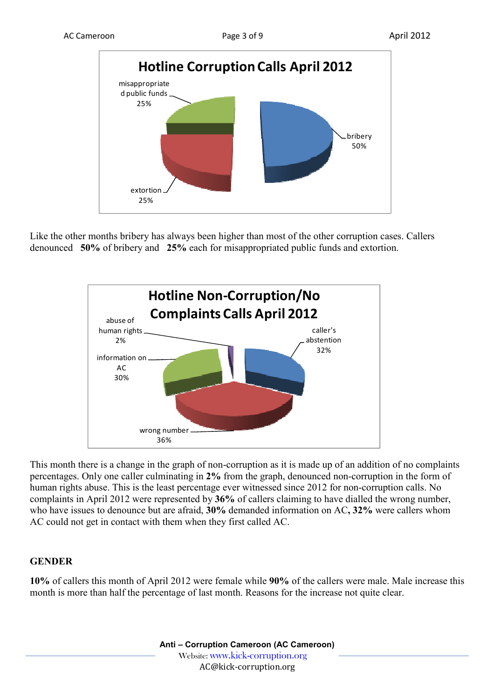

Like the other months bribery has always been higher than most of the other corruption cases. Callers denounced **50%** of bribery and **25%** each for misappropriated public funds and extortion.



This month there is a change in the graph of non-corruption as it is made up of an addition of no complaints percentages. Only one caller culminating in **2%** from the graph, denounced non-corruption in the form of human rights abuse. This is the least percentage ever witnessed since 2012 for non-corruption calls. No complaints in April 2012 were represented by **36%** of callers claiming to have dialled the wrong number, who have issues to denounce but are afraid, **30%** demanded information on AC**, 32%** were callers whom AC could not get in contact with them when they first called AC.

## **GENDER**

**10%** of callers this month of April 2012 were female while **90%** of the callers were male. Male increase this month is more than half the percentage of last month. Reasons for the increase not quite clear.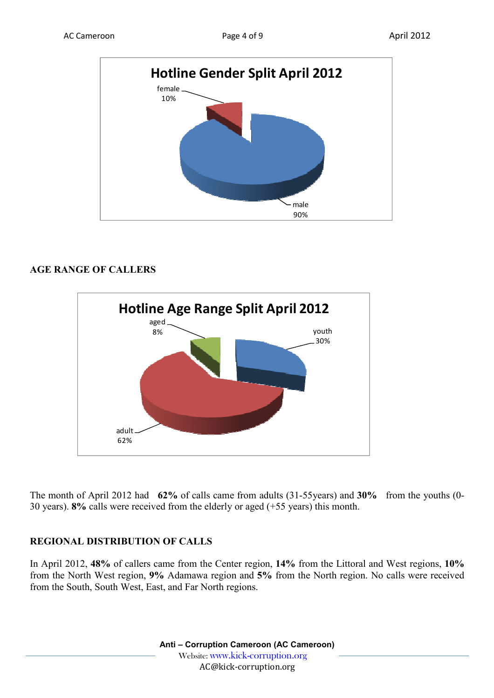

### **AGE RANGE OF CALLERS**



The month of April 2012 had **62%** of calls came from adults (31-55years) and **30%** from the youths (0- 30 years). **8%** calls were received from the elderly or aged (+55 years) this month.

## **REGIONAL DISTRIBUTION OF CALLS**

In April 2012, **48%** of callers came from the Center region, **14%** from the Littoral and West regions, **10%**  from the North West region, **9%** Adamawa region and **5%** from the North region. No calls were received from the South, South West, East, and Far North regions.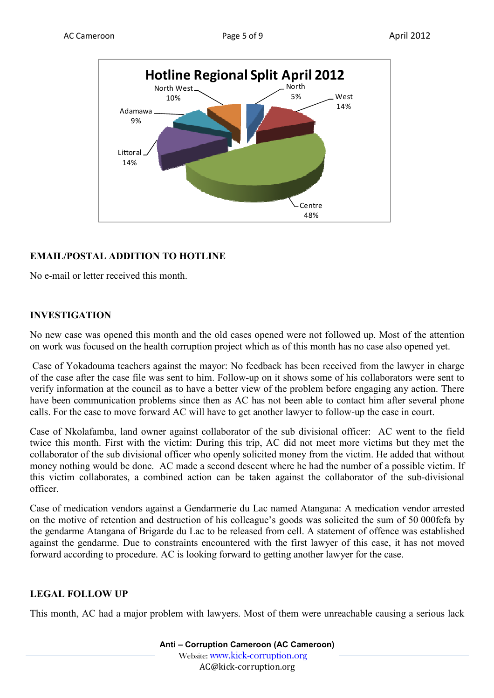



## **EMAIL/POSTAL ADDITION TO HOTLINE**

No e-mail or letter received this month.

## **INVESTIGATION**

No new case was opened this month and the old cases opened were not followed up. Most of the attention on work was focused on the health corruption project which as of this month has no case also opened yet.

 Case of Yokadouma teachers against the mayor: No feedback has been received from the lawyer in charge of the case after the case file was sent to him. Follow-up on it shows some of his collaborators were sent to verify information at the council as to have a better view of the problem before engaging any action. There have been communication problems since then as AC has not been able to contact him after several phone calls. For the case to move forward AC will have to get another lawyer to follow-up the case in court.

Case of Nkolafamba, land owner against collaborator of the sub divisional officer: AC went to the field twice this month. First with the victim: During this trip, AC did not meet more victims but they met the collaborator of the sub divisional officer who openly solicited money from the victim. He added that without money nothing would be done. AC made a second descent where he had the number of a possible victim. If this victim collaborates, a combined action can be taken against the collaborator of the sub-divisional officer.

Case of medication vendors against a Gendarmerie du Lac named Atangana: A medication vendor arrested on the motive of retention and destruction of his colleague's goods was solicited the sum of 50 000fcfa by the gendarme Atangana of Brigarde du Lac to be released from cell. A statement of offence was established against the gendarme. Due to constraints encountered with the first lawyer of this case, it has not moved forward according to procedure. AC is looking forward to getting another lawyer for the case.

## **LEGAL FOLLOW UP**

This month, AC had a major problem with lawyers. Most of them were unreachable causing a serious lack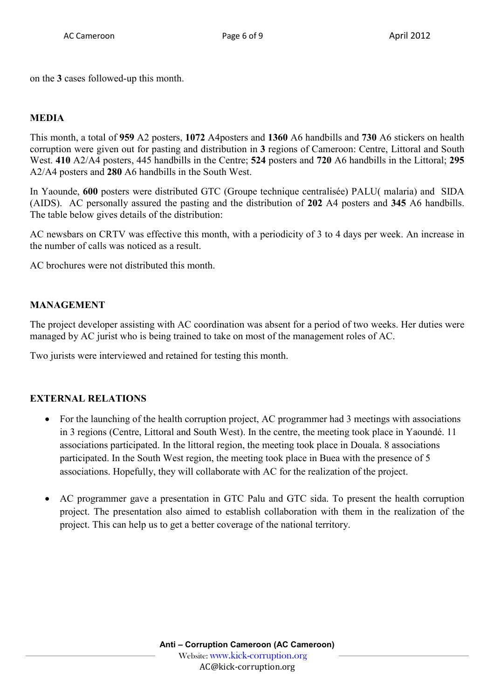on the **3** cases followed-up this month.

### **MEDIA**

This month, a total of **959** A2 posters, **1072** A4posters and **1360** A6 handbills and **730** A6 stickers on health corruption were given out for pasting and distribution in **3** regions of Cameroon: Centre, Littoral and South West. **410** A2/A4 posters, 445 handbills in the Centre; **524** posters and **720** A6 handbills in the Littoral; **295** A2/A4 posters and **280** A6 handbills in the South West.

In Yaounde, **600** posters were distributed GTC (Groupe technique centralisée) PALU( malaria) and SIDA (AIDS). AC personally assured the pasting and the distribution of **202** A4 posters and **345** A6 handbills. The table below gives details of the distribution:

AC newsbars on CRTV was effective this month, with a periodicity of 3 to 4 days per week. An increase in the number of calls was noticed as a result.

AC brochures were not distributed this month.

#### **MANAGEMENT**

The project developer assisting with AC coordination was absent for a period of two weeks. Her duties were managed by AC jurist who is being trained to take on most of the management roles of AC.

Two jurists were interviewed and retained for testing this month.

#### **EXTERNAL RELATIONS**

- For the launching of the health corruption project, AC programmer had 3 meetings with associations in 3 regions (Centre, Littoral and South West). In the centre, the meeting took place in Yaoundé. 11 associations participated. In the littoral region, the meeting took place in Douala. 8 associations participated. In the South West region, the meeting took place in Buea with the presence of 5 associations. Hopefully, they will collaborate with AC for the realization of the project.
- AC programmer gave a presentation in GTC Palu and GTC sida. To present the health corruption project. The presentation also aimed to establish collaboration with them in the realization of the project. This can help us to get a better coverage of the national territory.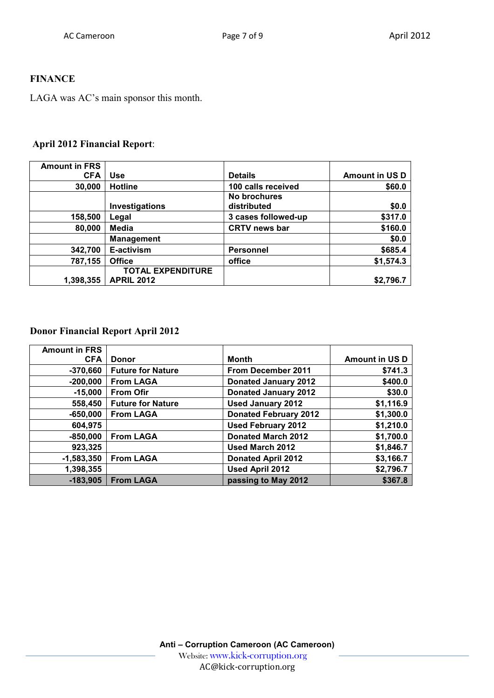## **FINANCE**

LAGA was AC's main sponsor this month.

## **April 2012 Financial Report**:

| <b>Amount in FRS</b> |                          |                                    |                       |
|----------------------|--------------------------|------------------------------------|-----------------------|
| <b>CFA</b>           | <b>Use</b>               | <b>Details</b>                     | <b>Amount in US D</b> |
| 30,000               | <b>Hotline</b>           | 100 calls received                 | \$60.0                |
|                      | Investigations           | <b>No brochures</b><br>distributed | \$0.0                 |
| 158,500              | Legal                    | 3 cases followed-up                | \$317.0               |
| 80,000               | Media                    | <b>CRTV news bar</b>               | \$160.0               |
|                      | <b>Management</b>        |                                    | \$0.0                 |
| 342,700              | E-activism               | <b>Personnel</b>                   | \$685.4               |
| 787,155              | <b>Office</b>            | office                             | \$1,574.3             |
|                      | <b>TOTAL EXPENDITURE</b> |                                    |                       |
| 1,398,355            | <b>APRIL 2012</b>        |                                    | \$2,796.7             |

#### **Donor Financial Report April 2012**

| <b>Amount in FRS</b> |                          |                              |                       |
|----------------------|--------------------------|------------------------------|-----------------------|
| <b>CFA</b>           | <b>Donor</b>             | Month                        | <b>Amount in US D</b> |
| $-370,660$           | <b>Future for Nature</b> | <b>From December 2011</b>    | \$741.3               |
| $-200,000$           | <b>From LAGA</b>         | <b>Donated January 2012</b>  | \$400.0               |
| $-15,000$            | <b>From Ofir</b>         | <b>Donated January 2012</b>  | \$30.0                |
| 558,450              | <b>Future for Nature</b> | <b>Used January 2012</b>     | \$1,116.9             |
| $-650,000$           | <b>From LAGA</b>         | <b>Donated February 2012</b> | \$1,300.0             |
| 604,975              |                          | <b>Used February 2012</b>    | \$1,210.0             |
| $-850,000$           | <b>From LAGA</b>         | <b>Donated March 2012</b>    | \$1,700.0             |
| 923,325              |                          | Used March 2012              | \$1,846.7             |
| $-1,583,350$         | <b>From LAGA</b>         | <b>Donated April 2012</b>    | \$3,166.7             |
| 1,398,355            |                          | <b>Used April 2012</b>       | \$2,796.7             |
| $-183,905$           | <b>From LAGA</b>         | passing to May 2012          | \$367.8               |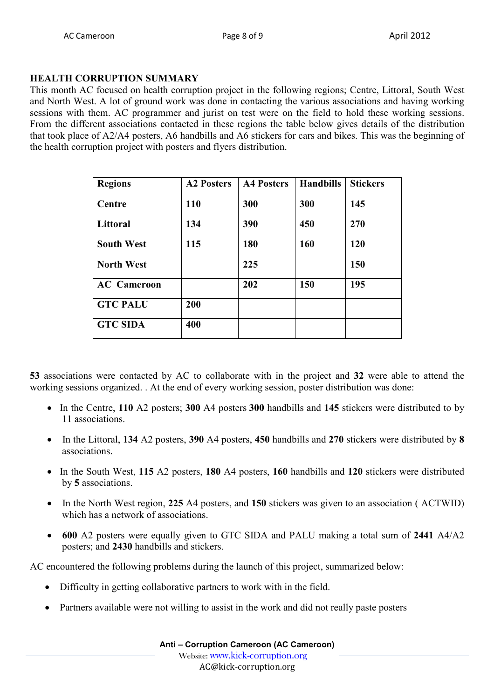## **HEALTH CORRUPTION SUMMARY**

This month AC focused on health corruption project in the following regions; Centre, Littoral, South West and North West. A lot of ground work was done in contacting the various associations and having working sessions with them. AC programmer and jurist on test were on the field to hold these working sessions. From the different associations contacted in these regions the table below gives details of the distribution that took place of A2/A4 posters, A6 handbills and A6 stickers for cars and bikes. This was the beginning of the health corruption project with posters and flyers distribution.

| <b>Regions</b>     | <b>A2 Posters</b> | <b>A4 Posters</b> | <b>Handbills</b> | <b>Stickers</b> |
|--------------------|-------------------|-------------------|------------------|-----------------|
| Centre             | 110               | 300               | 300              | 145             |
| Littoral           | 134               | 390               | 450              | 270             |
| <b>South West</b>  | 115               | 180               | 160              | 120             |
| <b>North West</b>  |                   | 225               |                  | 150             |
| <b>AC</b> Cameroon |                   | 202               | 150              | 195             |
| <b>GTC PALU</b>    | 200               |                   |                  |                 |
| <b>GTC SIDA</b>    | 400               |                   |                  |                 |

**53** associations were contacted by AC to collaborate with in the project and **32** were able to attend the working sessions organized. . At the end of every working session, poster distribution was done:

- In the Centre, **110** A2 posters; **300** A4 posters **300** handbills and **145** stickers were distributed to by 11 associations.
- In the Littoral, **134** A2 posters, **390** A4 posters, **450** handbills and **270** stickers were distributed by **8** associations.
- In the South West, **115** A2 posters, **180** A4 posters, **160** handbills and **120** stickers were distributed by **5** associations.
- In the North West region, **225** A4 posters, and **150** stickers was given to an association ( ACTWID) which has a network of associations.
- **600** A2 posters were equally given to GTC SIDA and PALU making a total sum of **2441** A4/A2 posters; and **2430** handbills and stickers.

AC encountered the following problems during the launch of this project, summarized below:

- Difficulty in getting collaborative partners to work with in the field.
- Partners available were not willing to assist in the work and did not really paste posters